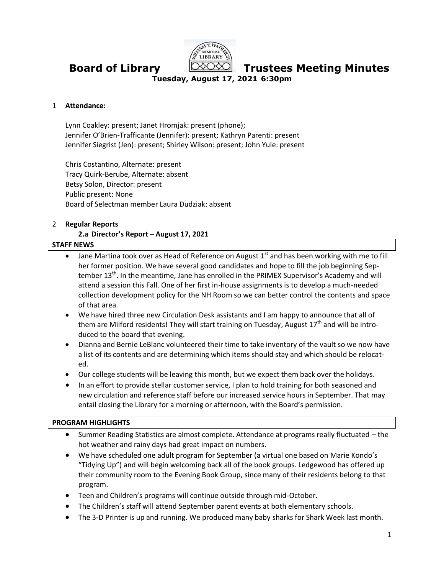

**Board of Library Trustees Meeting Minutes**

**Tuesday, August 17, 2021 6:30pm**

#### 1 **Attendance:**

Lynn Coakley: present; Janet Hromjak: present (phone); Jennifer O'Brien-Trafficante (Jennifer): present; Kathryn Parenti: present Jennifer Siegrist (Jen): present; Shirley Wilson: present; John Yule: present

Chris Costantino, Alternate: present Tracy Quirk-Berube, Alternate: absent Betsy Solon, Director: present Public present: None Board of Selectman member Laura Dudziak: absent

#### 2 **Regular Reports**

#### **2.a Director's Report – August 17, 2021**

# **STAFF NEWS**

- $\bullet$  Jane Martina took over as Head of Reference on August 1<sup>st</sup> and has been working with me to fill her former position. We have several good candidates and hope to fill the job beginning September 13<sup>th</sup>. In the meantime, Jane has enrolled in the PRIMEX Supervisor's Academy and will attend a session this Fall. One of her first in-house assignments is to develop a much-needed collection development policy for the NH Room so we can better control the contents and space of that area.
- We have hired three new Circulation Desk assistants and I am happy to announce that all of them are Milford residents! They will start training on Tuesday, August  $17<sup>th</sup>$  and will be introduced to the board that evening.
- Dianna and Bernie LeBlanc volunteered their time to take inventory of the vault so we now have a list of its contents and are determining which items should stay and which should be relocated.
- Our college students will be leaving this month, but we expect them back over the holidays.
- In an effort to provide stellar customer service, I plan to hold training for both seasoned and new circulation and reference staff before our increased service hours in September. That may entail closing the Library for a morning or afternoon, with the Board's permission.

#### **PROGRAM HIGHLIGHTS**

- Summer Reading Statistics are almost complete. Attendance at programs really fluctuated the hot weather and rainy days had great impact on numbers.
- We have scheduled one adult program for September (a virtual one based on Marie Kondo's "Tidying Up") and will begin welcoming back all of the book groups. Ledgewood has offered up their community room to the Evening Book Group, since many of their residents belong to that program.
- Teen and Children's programs will continue outside through mid-October.
- The Children's staff will attend September parent events at both elementary schools.
- The 3-D Printer is up and running. We produced many baby sharks for Shark Week last month.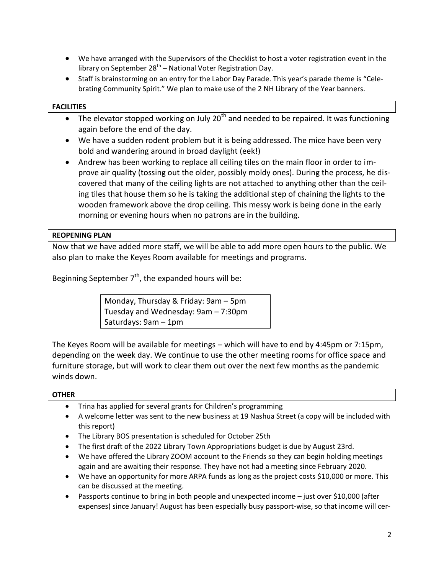- We have arranged with the Supervisors of the Checklist to host a voter registration event in the library on September 28<sup>th</sup> – National Voter Registration Day.
- Staff is brainstorming on an entry for the Labor Day Parade. This year's parade theme is "Celebrating Community Spirit." We plan to make use of the 2 NH Library of the Year banners.

# **FACILITIES**

- The elevator stopped working on July 20<sup>th</sup> and needed to be repaired. It was functioning again before the end of the day.
- We have a sudden rodent problem but it is being addressed. The mice have been very bold and wandering around in broad daylight (eek!)
- Andrew has been working to replace all ceiling tiles on the main floor in order to improve air quality (tossing out the older, possibly moldy ones). During the process, he discovered that many of the ceiling lights are not attached to anything other than the ceiling tiles that house them so he is taking the additional step of chaining the lights to the wooden framework above the drop ceiling. This messy work is being done in the early morning or evening hours when no patrons are in the building.

### **REOPENING PLAN**

Now that we have added more staff, we will be able to add more open hours to the public. We also plan to make the Keyes Room available for meetings and programs.

Beginning September  $7<sup>th</sup>$ , the expanded hours will be:

Monday, Thursday & Friday: 9am – 5pm Tuesday and Wednesday: 9am – 7:30pm Saturdays: 9am – 1pm

The Keyes Room will be available for meetings – which will have to end by 4:45pm or 7:15pm, depending on the week day. We continue to use the other meeting rooms for office space and furniture storage, but will work to clear them out over the next few months as the pandemic winds down.

#### **OTHER**

- Trina has applied for several grants for Children's programming
- A welcome letter was sent to the new business at 19 Nashua Street (a copy will be included with this report)
- The Library BOS presentation is scheduled for October 25th
- The first draft of the 2022 Library Town Appropriations budget is due by August 23rd.
- We have offered the Library ZOOM account to the Friends so they can begin holding meetings again and are awaiting their response. They have not had a meeting since February 2020.
- We have an opportunity for more ARPA funds as long as the project costs \$10,000 or more. This can be discussed at the meeting.
- Passports continue to bring in both people and unexpected income just over \$10,000 (after expenses) since January! August has been especially busy passport-wise, so that income will cer-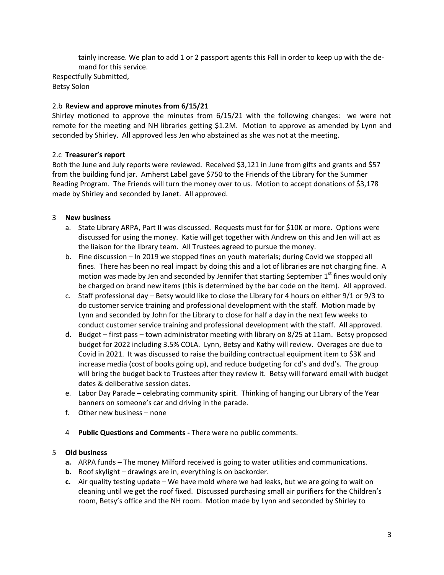tainly increase. We plan to add 1 or 2 passport agents this Fall in order to keep up with the demand for this service. Respectfully Submitted,

Betsy Solon

## 2.b **Review and approve minutes from 6/15/21**

Shirley motioned to approve the minutes from 6/15/21 with the following changes: we were not remote for the meeting and NH libraries getting \$1.2M. Motion to approve as amended by Lynn and seconded by Shirley. All approved less Jen who abstained as she was not at the meeting.

# 2.c **Treasurer's report**

Both the June and July reports were reviewed. Received \$3,121 in June from gifts and grants and \$57 from the building fund jar. Amherst Label gave \$750 to the Friends of the Library for the Summer Reading Program. The Friends will turn the money over to us. Motion to accept donations of \$3,178 made by Shirley and seconded by Janet. All approved.

# 3 **New business**

- a. State Library ARPA, Part II was discussed. Requests must for for \$10K or more. Options were discussed for using the money. Katie will get together with Andrew on this and Jen will act as the liaison for the library team. All Trustees agreed to pursue the money.
- b. Fine discussion In 2019 we stopped fines on youth materials; during Covid we stopped all fines. There has been no real impact by doing this and a lot of libraries are not charging fine. A motion was made by Jen and seconded by Jennifer that starting September  $1<sup>st</sup>$  fines would only be charged on brand new items (this is determined by the bar code on the item). All approved.
- c. Staff professional day Betsy would like to close the Library for 4 hours on either 9/1 or 9/3 to do customer service training and professional development with the staff. Motion made by Lynn and seconded by John for the Library to close for half a day in the next few weeks to conduct customer service training and professional development with the staff. All approved.
- d. Budget first pass town administrator meeting with library on 8/25 at 11am. Betsy proposed budget for 2022 including 3.5% COLA. Lynn, Betsy and Kathy will review. Overages are due to Covid in 2021. It was discussed to raise the building contractual equipment item to \$3K and increase media (cost of books going up), and reduce budgeting for cd's and dvd's. The group will bring the budget back to Trustees after they review it. Betsy will forward email with budget dates & deliberative session dates.
- e. Labor Day Parade celebrating community spirit. Thinking of hanging our Library of the Year banners on someone's car and driving in the parade.
- f. Other new business none
- 4 **Public Questions and Comments -** There were no public comments.

# 5 **Old business**

- **a.** ARPA funds The money Milford received is going to water utilities and communications.
- **b.** Roof skylight drawings are in, everything is on backorder.
- **c.** Air quality testing update We have mold where we had leaks, but we are going to wait on cleaning until we get the roof fixed. Discussed purchasing small air purifiers for the Children's room, Betsy's office and the NH room. Motion made by Lynn and seconded by Shirley to